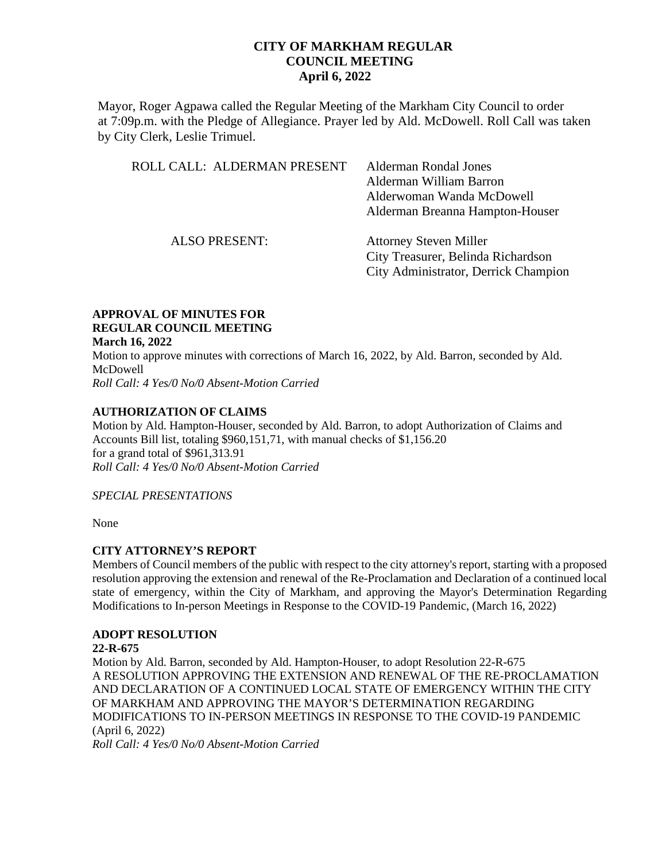Mayor, Roger Agpawa called the Regular Meeting of the Markham City Council to order at 7:09p.m. with the Pledge of Allegiance. Prayer led by Ald. McDowell. Roll Call was taken by City Clerk, Leslie Trimuel.

| ROLL CALL: ALDERMAN PRESENT | Alderman Rondal Jones<br>Alderman William Barron<br>Alderwoman Wanda McDowell<br>Alderman Breanna Hampton-Houser |
|-----------------------------|------------------------------------------------------------------------------------------------------------------|
| <b>ALSO PRESENT:</b>        | <b>Attorney Steven Miller</b><br>City Treasurer, Belinda Richardson<br>City Administrator, Derrick Champion      |

#### **APPROVAL OF MINUTES FOR REGULAR COUNCIL MEETING March 16, 2022**

Motion to approve minutes with corrections of March 16, 2022, by Ald. Barron, seconded by Ald. McDowell *Roll Call: 4 Yes/0 No/0 Absent-Motion Carried*

### **AUTHORIZATION OF CLAIMS**

Motion by Ald. Hampton-Houser, seconded by Ald. Barron, to adopt Authorization of Claims and Accounts Bill list, totaling \$960,151,71, with manual checks of \$1,156.20 for a grand total of \$961,313.91 *Roll Call: 4 Yes/0 No/0 Absent-Motion Carried* 

### *SPECIAL PRESENTATIONS*

None

### **CITY ATTORNEY'S REPORT**

Members of Council members of the public with respect to the city attorney's report, starting with a proposed resolution approving the extension and renewal of the Re-Proclamation and Declaration of a continued local state of emergency, within the City of Markham, and approving the Mayor's Determination Regarding Modifications to In-person Meetings in Response to the COVID-19 Pandemic, (March 16, 2022)

### **ADOPT RESOLUTION**

### **22-R-675**

Motion by Ald. Barron, seconded by Ald. Hampton-Houser, to adopt Resolution 22-R-675 A RESOLUTION APPROVING THE EXTENSION AND RENEWAL OF THE RE-PROCLAMATION AND DECLARATION OF A CONTINUED LOCAL STATE OF EMERGENCY WITHIN THE CITY OF MARKHAM AND APPROVING THE MAYOR'S DETERMINATION REGARDING MODIFICATIONS TO IN-PERSON MEETINGS IN RESPONSE TO THE COVID-19 PANDEMIC (April 6, 2022) *Roll Call: 4 Yes/0 No/0 Absent-Motion Carried*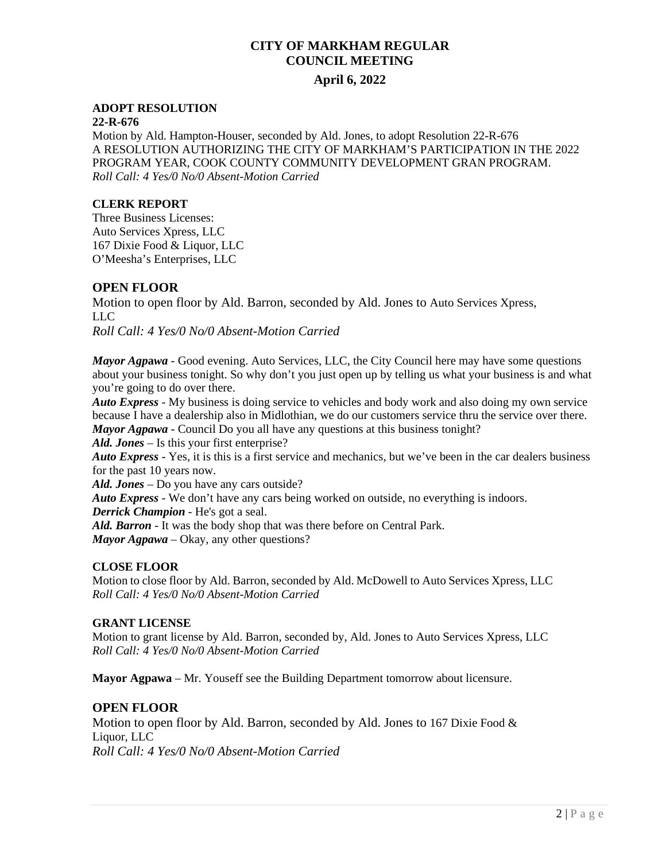# **April 6, 2022**

### **ADOPT RESOLUTION**

#### **22-R-676**

Motion by Ald. Hampton-Houser, seconded by Ald. Jones, to adopt Resolution 22-R-676 A RESOLUTION AUTHORIZING THE CITY OF MARKHAM'S PARTICIPATION IN THE 2022 PROGRAM YEAR, COOK COUNTY COMMUNITY DEVELOPMENT GRAN PROGRAM. *Roll Call: 4 Yes/0 No/0 Absent-Motion Carried* 

### **CLERK REPORT**

Three Business Licenses: Auto Services Xpress, LLC 167 Dixie Food & Liquor, LLC O'Meesha's Enterprises, LLC

### **OPEN FLOOR**

Motion to open floor by Ald. Barron, seconded by Ald. Jones to Auto Services Xpress, LLC

*Roll Call: 4 Yes/0 No/0 Absent-Motion Carried* 

*Mayor Agp***a***wa* - Good evening. Auto Services, LLC, the City Council here may have some questions about your business tonight. So why don't you just open up by telling us what your business is and what you're going to do over there.

*Auto Express* - My business is doing service to vehicles and body work and also doing my own service because I have a dealership also in Midlothian, we do our customers service thru the service over there. *Mayor Agpawa* - Council Do you all have any questions at this business tonight?

*Ald. Jones* – Is this your first enterprise?

*Auto Express* - Yes, it is this is a first service and mechanics, but we've been in the car dealers business for the past 10 years now.

*Ald. Jones* – Do you have any cars outside?

*Auto Express* - We don't have any cars being worked on outside, no everything is indoors.

*Derrick Champion* - He's got a seal.

*Ald. Barron* - It was the body shop that was there before on Central Park.

*Mayor Agpawa – Okay, any other questions?* 

### **CLOSE FLOOR**

Motion to close floor by Ald. Barron, seconded by Ald. McDowell to Auto Services Xpress, LLC *Roll Call: 4 Yes/0 No/0 Absent-Motion Carried* 

### **GRANT LICENSE**

Motion to grant license by Ald. Barron, seconded by, Ald. Jones to Auto Services Xpress, LLC *Roll Call: 4 Yes/0 No/0 Absent-Motion Carried* 

**Mayor Agpawa** – Mr. Youseff see the Building Department tomorrow about licensure.

### **OPEN FLOOR**

Motion to open floor by Ald. Barron, seconded by Ald. Jones to 167 Dixie Food & Liquor, LLC *Roll Call: 4 Yes/0 No/0 Absent-Motion Carried*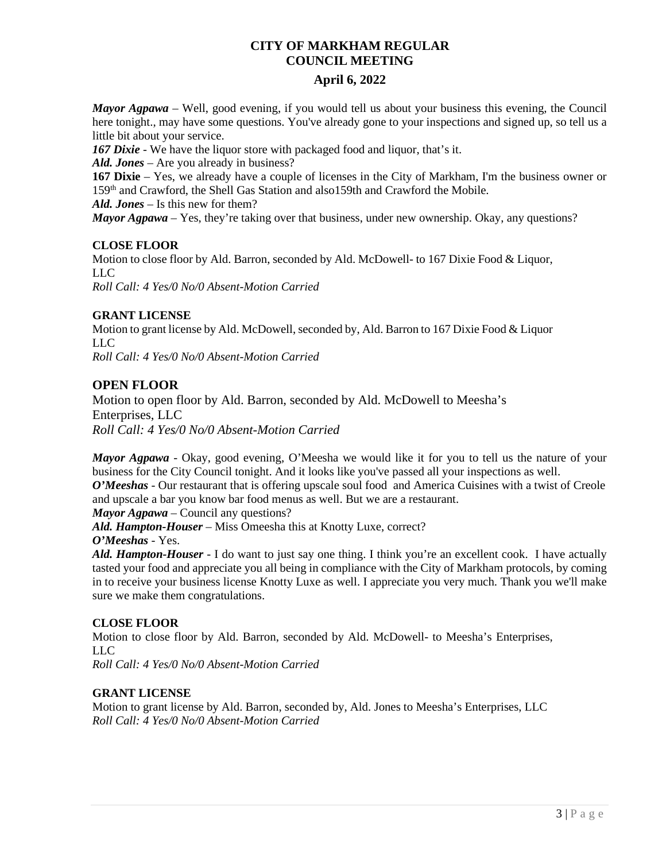# **April 6, 2022**

*Mayor Agpawa* – Well, good evening, if you would tell us about your business this evening, the Council here tonight., may have some questions. You've already gone to your inspections and signed up, so tell us a little bit about your service.

*167 Dixie* - We have the liquor store with packaged food and liquor, that's it.

*Ald. Jones* – Are you already in business?

**167 Dixie** – Yes, we already have a couple of licenses in the City of Markham, I'm the business owner or 159th and Crawford, the Shell Gas Station and also159th and Crawford the Mobile.

*Ald. Jones* – Is this new for them?

*Mayor Agpawa* – Yes, they're taking over that business, under new ownership. Okay, any questions?

### **CLOSE FLOOR**

Motion to close floor by Ald. Barron, seconded by Ald. McDowell- to 167 Dixie Food & Liquor, LLC *Roll Call: 4 Yes/0 No/0 Absent-Motion Carried* 

## **GRANT LICENSE**

Motion to grant license by Ald. McDowell, seconded by, Ald. Barron to 167 Dixie Food & Liquor LLC *Roll Call: 4 Yes/0 No/0 Absent-Motion Carried* 

## **OPEN FLOOR**

Motion to open floor by Ald. Barron, seconded by Ald. McDowell to Meesha's Enterprises, LLC *Roll Call: 4 Yes/0 No/0 Absent-Motion Carried* 

*Mayor Agpawa* - Okay, good evening, O'Meesha we would like it for you to tell us the nature of your business for the City Council tonight. And it looks like you've passed all your inspections as well.

*O'Meeshas* - Our restaurant that is offering upscale soul food and America Cuisines with a twist of Creole and upscale a bar you know bar food menus as well. But we are a restaurant.

*Mayor Agpawa* – Council any questions?

*Ald. Hampton-Houser* – Miss Omeesha this at Knotty Luxe, correct?

# *O'Meeshas* - Yes.

*Ald. Hampton-Houser* - I do want to just say one thing. I think you're an excellent cook. I have actually tasted your food and appreciate you all being in compliance with the City of Markham protocols, by coming in to receive your business license Knotty Luxe as well. I appreciate you very much. Thank you we'll make sure we make them congratulations.

### **CLOSE FLOOR**

Motion to close floor by Ald. Barron, seconded by Ald. McDowell- to Meesha's Enterprises, LLC

*Roll Call: 4 Yes/0 No/0 Absent-Motion Carried* 

### **GRANT LICENSE**

Motion to grant license by Ald. Barron, seconded by, Ald. Jones to Meesha's Enterprises, LLC *Roll Call: 4 Yes/0 No/0 Absent-Motion Carried*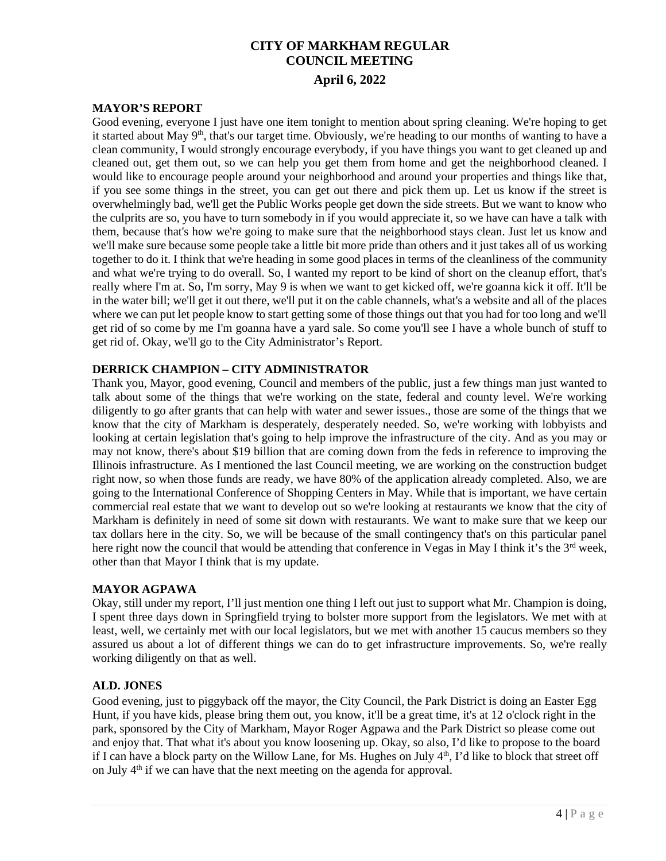#### **MAYOR'S REPORT**

Good evening, everyone I just have one item tonight to mention about spring cleaning. We're hoping to get it started about May  $9<sup>th</sup>$ , that's our target time. Obviously, we're heading to our months of wanting to have a clean community, I would strongly encourage everybody, if you have things you want to get cleaned up and cleaned out, get them out, so we can help you get them from home and get the neighborhood cleaned. I would like to encourage people around your neighborhood and around your properties and things like that, if you see some things in the street, you can get out there and pick them up. Let us know if the street is overwhelmingly bad, we'll get the Public Works people get down the side streets. But we want to know who the culprits are so, you have to turn somebody in if you would appreciate it, so we have can have a talk with them, because that's how we're going to make sure that the neighborhood stays clean. Just let us know and we'll make sure because some people take a little bit more pride than others and it just takes all of us working together to do it. I think that we're heading in some good places in terms of the cleanliness of the community and what we're trying to do overall. So, I wanted my report to be kind of short on the cleanup effort, that's really where I'm at. So, I'm sorry, May 9 is when we want to get kicked off, we're goanna kick it off. It'll be in the water bill; we'll get it out there, we'll put it on the cable channels, what's a website and all of the places where we can put let people know to start getting some of those things out that you had for too long and we'll get rid of so come by me I'm goanna have a yard sale. So come you'll see I have a whole bunch of stuff to get rid of. Okay, we'll go to the City Administrator's Report.

#### **DERRICK CHAMPION – CITY ADMINISTRATOR**

Thank you, Mayor, good evening, Council and members of the public, just a few things man just wanted to talk about some of the things that we're working on the state, federal and county level. We're working diligently to go after grants that can help with water and sewer issues., those are some of the things that we know that the city of Markham is desperately, desperately needed. So, we're working with lobbyists and looking at certain legislation that's going to help improve the infrastructure of the city. And as you may or may not know, there's about \$19 billion that are coming down from the feds in reference to improving the Illinois infrastructure. As I mentioned the last Council meeting, we are working on the construction budget right now, so when those funds are ready, we have 80% of the application already completed. Also, we are going to the International Conference of Shopping Centers in May. While that is important, we have certain commercial real estate that we want to develop out so we're looking at restaurants we know that the city of Markham is definitely in need of some sit down with restaurants. We want to make sure that we keep our tax dollars here in the city. So, we will be because of the small contingency that's on this particular panel here right now the council that would be attending that conference in Vegas in May I think it's the  $3<sup>rd</sup>$  week, other than that Mayor I think that is my update.

### **MAYOR AGPAWA**

Okay, still under my report, I'll just mention one thing I left out just to support what Mr. Champion is doing, I spent three days down in Springfield trying to bolster more support from the legislators. We met with at least, well, we certainly met with our local legislators, but we met with another 15 caucus members so they assured us about a lot of different things we can do to get infrastructure improvements. So, we're really working diligently on that as well.

### **ALD. JONES**

Good evening, just to piggyback off the mayor, the City Council, the Park District is doing an Easter Egg Hunt, if you have kids, please bring them out, you know, it'll be a great time, it's at 12 o'clock right in the park, sponsored by the City of Markham, Mayor Roger Agpawa and the Park District so please come out and enjoy that. That what it's about you know loosening up. Okay, so also, I'd like to propose to the board if I can have a block party on the Willow Lane, for Ms. Hughes on July 4<sup>th</sup>, I'd like to block that street off on July  $4<sup>th</sup>$  if we can have that the next meeting on the agenda for approval.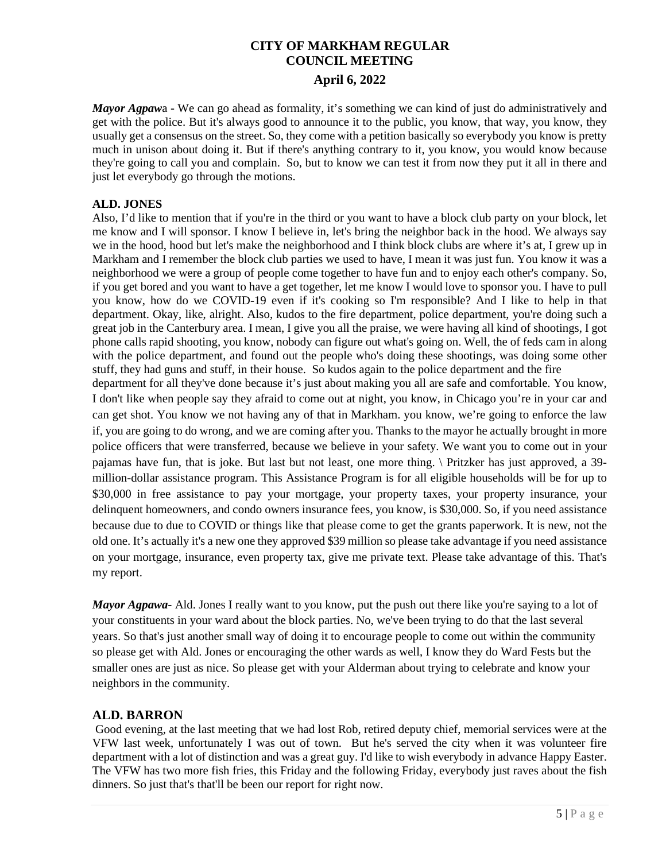*Mayor Agpawa* - We can go ahead as formality, it's something we can kind of just do administratively and get with the police. But it's always good to announce it to the public, you know, that way, you know, they usually get a consensus on the street. So, they come with a petition basically so everybody you know is pretty much in unison about doing it. But if there's anything contrary to it, you know, you would know because they're going to call you and complain. So, but to know we can test it from now they put it all in there and just let everybody go through the motions.

## **ALD. JONES**

Also, I'd like to mention that if you're in the third or you want to have a block club party on your block, let me know and I will sponsor. I know I believe in, let's bring the neighbor back in the hood. We always say we in the hood, hood but let's make the neighborhood and I think block clubs are where it's at, I grew up in Markham and I remember the block club parties we used to have, I mean it was just fun. You know it was a neighborhood we were a group of people come together to have fun and to enjoy each other's company. So, if you get bored and you want to have a get together, let me know I would love to sponsor you. I have to pull you know, how do we COVID-19 even if it's cooking so I'm responsible? And I like to help in that department. Okay, like, alright. Also, kudos to the fire department, police department, you're doing such a great job in the Canterbury area. I mean, I give you all the praise, we were having all kind of shootings, I got phone calls rapid shooting, you know, nobody can figure out what's going on. Well, the of feds cam in along with the police department, and found out the people who's doing these shootings, was doing some other stuff, they had guns and stuff, in their house. So kudos again to the police department and the fire

department for all they've done because it's just about making you all are safe and comfortable. You know, I don't like when people say they afraid to come out at night, you know, in Chicago you're in your car and can get shot. You know we not having any of that in Markham. you know, we're going to enforce the law if, you are going to do wrong, and we are coming after you. Thanks to the mayor he actually brought in more police officers that were transferred, because we believe in your safety. We want you to come out in your pajamas have fun, that is joke. But last but not least, one more thing. \ Pritzker has just approved, a 39 million-dollar assistance program. This Assistance Program is for all eligible households will be for up to \$30,000 in free assistance to pay your mortgage, your property taxes, your property insurance, your delinquent homeowners, and condo owners insurance fees, you know, is \$30,000. So, if you need assistance because due to due to COVID or things like that please come to get the grants paperwork. It is new, not the old one. It's actually it's a new one they approved \$39 million so please take advantage if you need assistance on your mortgage, insurance, even property tax, give me private text. Please take advantage of this. That's my report.

*Mayor Agpawa*- Ald. Jones I really want to you know, put the push out there like you're saying to a lot of your constituents in your ward about the block parties. No, we've been trying to do that the last several years. So that's just another small way of doing it to encourage people to come out within the community so please get with Ald. Jones or encouraging the other wards as well, I know they do Ward Fests but the smaller ones are just as nice. So please get with your Alderman about trying to celebrate and know your neighbors in the community.

# **ALD. BARRON**

Good evening, at the last meeting that we had lost Rob, retired deputy chief, memorial services were at the VFW last week, unfortunately I was out of town. But he's served the city when it was volunteer fire department with a lot of distinction and was a great guy. I'd like to wish everybody in advance Happy Easter. The VFW has two more fish fries, this Friday and the following Friday, everybody just raves about the fish dinners. So just that's that'll be been our report for right now.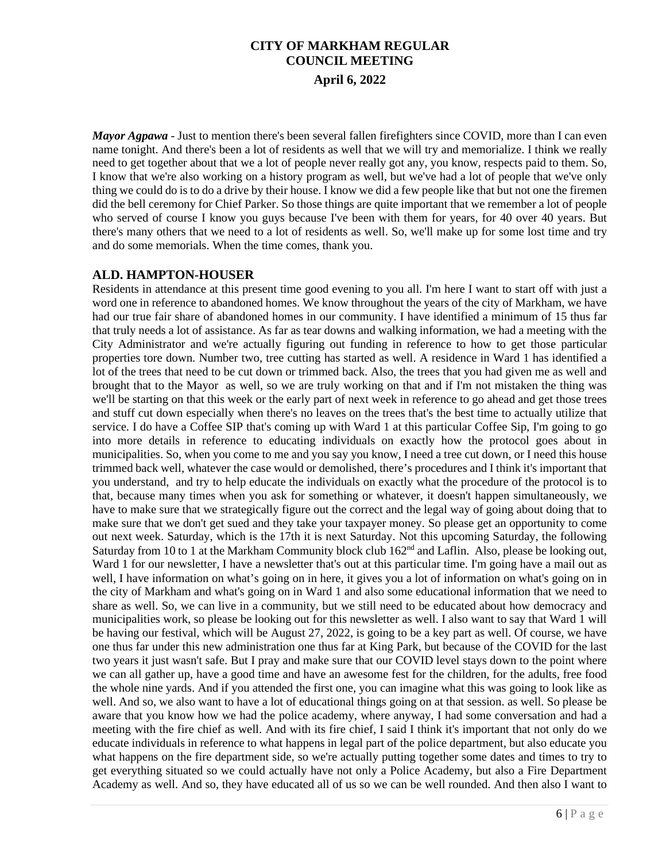*Mayor Agpawa* - Just to mention there's been several fallen firefighters since COVID, more than I can even name tonight. And there's been a lot of residents as well that we will try and memorialize. I think we really need to get together about that we a lot of people never really got any, you know, respects paid to them. So, I know that we're also working on a history program as well, but we've had a lot of people that we've only thing we could do is to do a drive by their house. I know we did a few people like that but not one the firemen did the bell ceremony for Chief Parker. So those things are quite important that we remember a lot of people who served of course I know you guys because I've been with them for years, for 40 over 40 years. But there's many others that we need to a lot of residents as well. So, we'll make up for some lost time and try and do some memorials. When the time comes, thank you.

### **ALD. HAMPTON-HOUSER**

Residents in attendance at this present time good evening to you all. I'm here I want to start off with just a word one in reference to abandoned homes. We know throughout the years of the city of Markham, we have had our true fair share of abandoned homes in our community. I have identified a minimum of 15 thus far that truly needs a lot of assistance. As far as tear downs and walking information, we had a meeting with the City Administrator and we're actually figuring out funding in reference to how to get those particular properties tore down. Number two, tree cutting has started as well. A residence in Ward 1 has identified a lot of the trees that need to be cut down or trimmed back. Also, the trees that you had given me as well and brought that to the Mayor as well, so we are truly working on that and if I'm not mistaken the thing was we'll be starting on that this week or the early part of next week in reference to go ahead and get those trees and stuff cut down especially when there's no leaves on the trees that's the best time to actually utilize that service. I do have a Coffee SIP that's coming up with Ward 1 at this particular Coffee Sip, I'm going to go into more details in reference to educating individuals on exactly how the protocol goes about in municipalities. So, when you come to me and you say you know, I need a tree cut down, or I need this house trimmed back well, whatever the case would or demolished, there's procedures and I think it's important that you understand, and try to help educate the individuals on exactly what the procedure of the protocol is to that, because many times when you ask for something or whatever, it doesn't happen simultaneously, we have to make sure that we strategically figure out the correct and the legal way of going about doing that to make sure that we don't get sued and they take your taxpayer money. So please get an opportunity to come out next week. Saturday, which is the 17th it is next Saturday. Not this upcoming Saturday, the following Saturday from 10 to 1 at the Markham Community block club 162<sup>nd</sup> and Laflin. Also, please be looking out, Ward 1 for our newsletter, I have a newsletter that's out at this particular time. I'm going have a mail out as well, I have information on what's going on in here, it gives you a lot of information on what's going on in the city of Markham and what's going on in Ward 1 and also some educational information that we need to share as well. So, we can live in a community, but we still need to be educated about how democracy and municipalities work, so please be looking out for this newsletter as well. I also want to say that Ward 1 will be having our festival, which will be August 27, 2022, is going to be a key part as well. Of course, we have one thus far under this new administration one thus far at King Park, but because of the COVID for the last two years it just wasn't safe. But I pray and make sure that our COVID level stays down to the point where we can all gather up, have a good time and have an awesome fest for the children, for the adults, free food the whole nine yards. And if you attended the first one, you can imagine what this was going to look like as well. And so, we also want to have a lot of educational things going on at that session. as well. So please be aware that you know how we had the police academy, where anyway, I had some conversation and had a meeting with the fire chief as well. And with its fire chief, I said I think it's important that not only do we educate individuals in reference to what happens in legal part of the police department, but also educate you what happens on the fire department side, so we're actually putting together some dates and times to try to get everything situated so we could actually have not only a Police Academy, but also a Fire Department Academy as well. And so, they have educated all of us so we can be well rounded. And then also I want to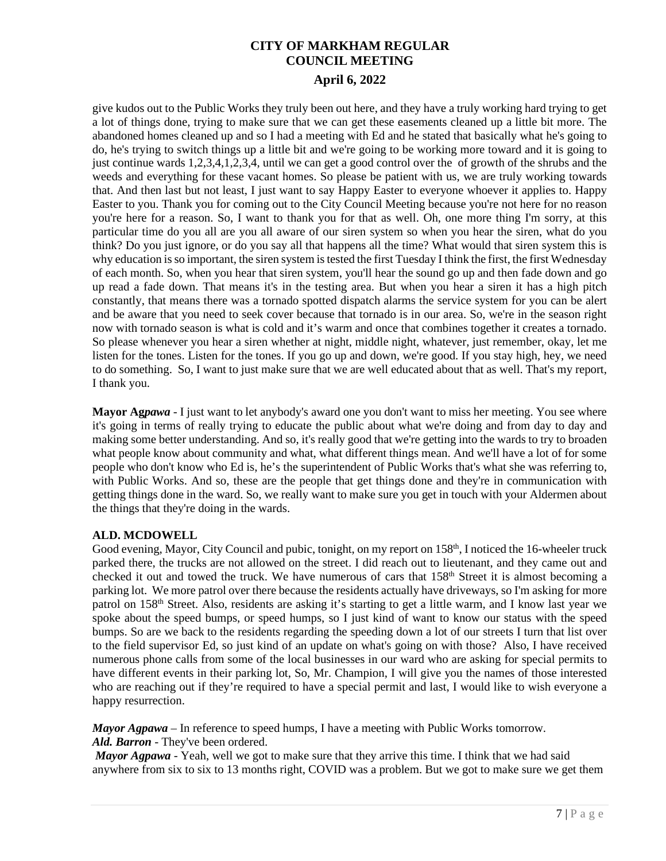give kudos out to the Public Works they truly been out here, and they have a truly working hard trying to get a lot of things done, trying to make sure that we can get these easements cleaned up a little bit more. The abandoned homes cleaned up and so I had a meeting with Ed and he stated that basically what he's going to do, he's trying to switch things up a little bit and we're going to be working more toward and it is going to just continue wards 1,2,3,4,1,2,3,4, until we can get a good control over the of growth of the shrubs and the weeds and everything for these vacant homes. So please be patient with us, we are truly working towards that. And then last but not least, I just want to say Happy Easter to everyone whoever it applies to. Happy Easter to you. Thank you for coming out to the City Council Meeting because you're not here for no reason you're here for a reason. So, I want to thank you for that as well. Oh, one more thing I'm sorry, at this particular time do you all are you all aware of our siren system so when you hear the siren, what do you think? Do you just ignore, or do you say all that happens all the time? What would that siren system this is why education is so important, the siren system is tested the first Tuesday I think the first, the first Wednesday of each month. So, when you hear that siren system, you'll hear the sound go up and then fade down and go up read a fade down. That means it's in the testing area. But when you hear a siren it has a high pitch constantly, that means there was a tornado spotted dispatch alarms the service system for you can be alert and be aware that you need to seek cover because that tornado is in our area. So, we're in the season right now with tornado season is what is cold and it's warm and once that combines together it creates a tornado. So please whenever you hear a siren whether at night, middle night, whatever, just remember, okay, let me listen for the tones. Listen for the tones. If you go up and down, we're good. If you stay high, hey, we need to do something. So, I want to just make sure that we are well educated about that as well. That's my report, I thank you.

**Mayor Ag***pawa* - I just want to let anybody's award one you don't want to miss her meeting. You see where it's going in terms of really trying to educate the public about what we're doing and from day to day and making some better understanding. And so, it's really good that we're getting into the wards to try to broaden what people know about community and what, what different things mean. And we'll have a lot of for some people who don't know who Ed is, he's the superintendent of Public Works that's what she was referring to, with Public Works. And so, these are the people that get things done and they're in communication with getting things done in the ward. So, we really want to make sure you get in touch with your Aldermen about the things that they're doing in the wards.

### **ALD. MCDOWELL**

Good evening, Mayor, City Council and pubic, tonight, on my report on 158<sup>th</sup>, I noticed the 16-wheeler truck parked there, the trucks are not allowed on the street. I did reach out to lieutenant, and they came out and checked it out and towed the truck. We have numerous of cars that 158<sup>th</sup> Street it is almost becoming a parking lot. We more patrol over there because the residents actually have driveways, so I'm asking for more patrol on 158th Street. Also, residents are asking it's starting to get a little warm, and I know last year we spoke about the speed bumps, or speed humps, so I just kind of want to know our status with the speed bumps. So are we back to the residents regarding the speeding down a lot of our streets I turn that list over to the field supervisor Ed, so just kind of an update on what's going on with those? Also, I have received numerous phone calls from some of the local businesses in our ward who are asking for special permits to have different events in their parking lot, So, Mr. Champion, I will give you the names of those interested who are reaching out if they're required to have a special permit and last, I would like to wish everyone a happy resurrection.

*Mayor Agpawa* – In reference to speed humps, I have a meeting with Public Works tomorrow. *Ald. Barron* - They've been ordered.

*Mayor Agpawa* - Yeah, well we got to make sure that they arrive this time. I think that we had said anywhere from six to six to 13 months right, COVID was a problem. But we got to make sure we get them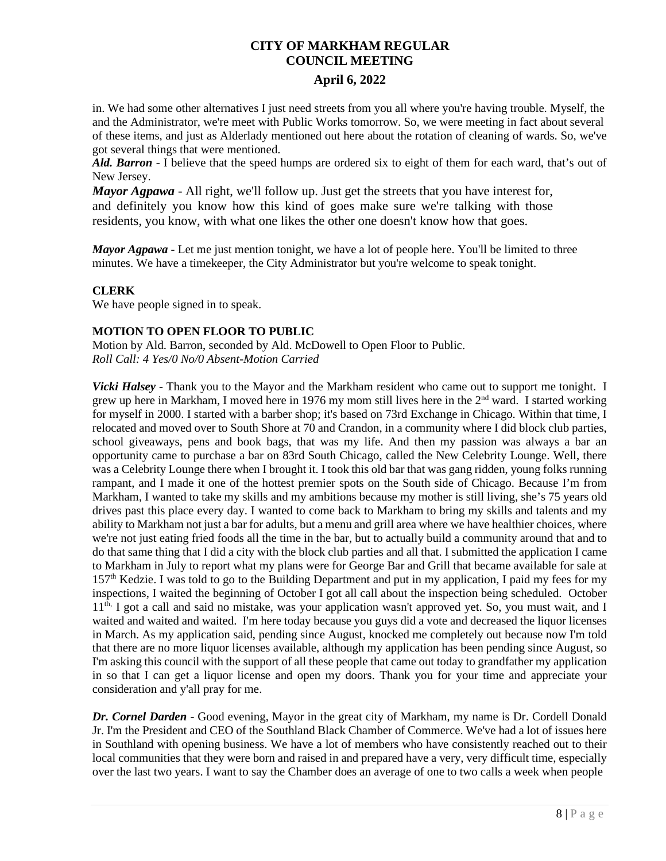### **April 6, 2022**

in. We had some other alternatives I just need streets from you all where you're having trouble. Myself, the and the Administrator, we're meet with Public Works tomorrow. So, we were meeting in fact about several of these items, and just as Alderlady mentioned out here about the rotation of cleaning of wards. So, we've got several things that were mentioned.

*Ald. Barron* - I believe that the speed humps are ordered six to eight of them for each ward, that's out of New Jersey.

*Mayor Agpawa* - All right, we'll follow up. Just get the streets that you have interest for, and definitely you know how this kind of goes make sure we're talking with those residents, you know, with what one likes the other one doesn't know how that goes.

*Mayor Agpawa* - Let me just mention tonight, we have a lot of people here. You'll be limited to three minutes. We have a timekeeper, the City Administrator but you're welcome to speak tonight.

### **CLERK**

We have people signed in to speak.

### **MOTION TO OPEN FLOOR TO PUBLIC**

Motion by Ald. Barron, seconded by Ald. McDowell to Open Floor to Public. *Roll Call: 4 Yes/0 No/0 Absent-Motion Carried*

*Vicki Halsey* - Thank you to the Mayor and the Markham resident who came out to support me tonight. I grew up here in Markham, I moved here in 1976 my mom still lives here in the 2<sup>nd</sup> ward. I started working for myself in 2000. I started with a barber shop; it's based on 73rd Exchange in Chicago. Within that time, I relocated and moved over to South Shore at 70 and Crandon, in a community where I did block club parties, school giveaways, pens and book bags, that was my life. And then my passion was always a bar an opportunity came to purchase a bar on 83rd South Chicago, called the New Celebrity Lounge. Well, there was a Celebrity Lounge there when I brought it. I took this old bar that was gang ridden, young folks running rampant, and I made it one of the hottest premier spots on the South side of Chicago. Because I'm from Markham, I wanted to take my skills and my ambitions because my mother is still living, she's 75 years old drives past this place every day. I wanted to come back to Markham to bring my skills and talents and my ability to Markham not just a bar for adults, but a menu and grill area where we have healthier choices, where we're not just eating fried foods all the time in the bar, but to actually build a community around that and to do that same thing that I did a city with the block club parties and all that. I submitted the application I came to Markham in July to report what my plans were for George Bar and Grill that became available for sale at 157th Kedzie. I was told to go to the Building Department and put in my application, I paid my fees for my inspections, I waited the beginning of October I got all call about the inspection being scheduled. October 11th, I got a call and said no mistake, was your application wasn't approved yet. So, you must wait, and I waited and waited and waited. I'm here today because you guys did a vote and decreased the liquor licenses in March. As my application said, pending since August, knocked me completely out because now I'm told that there are no more liquor licenses available, although my application has been pending since August, so I'm asking this council with the support of all these people that came out today to grandfather my application in so that I can get a liquor license and open my doors. Thank you for your time and appreciate your consideration and y'all pray for me.

*Dr. Cornel Darden* - Good evening, Mayor in the great city of Markham, my name is Dr. Cordell Donald Jr. I'm the President and CEO of the Southland Black Chamber of Commerce. We've had a lot of issues here in Southland with opening business. We have a lot of members who have consistently reached out to their local communities that they were born and raised in and prepared have a very, very difficult time, especially over the last two years. I want to say the Chamber does an average of one to two calls a week when people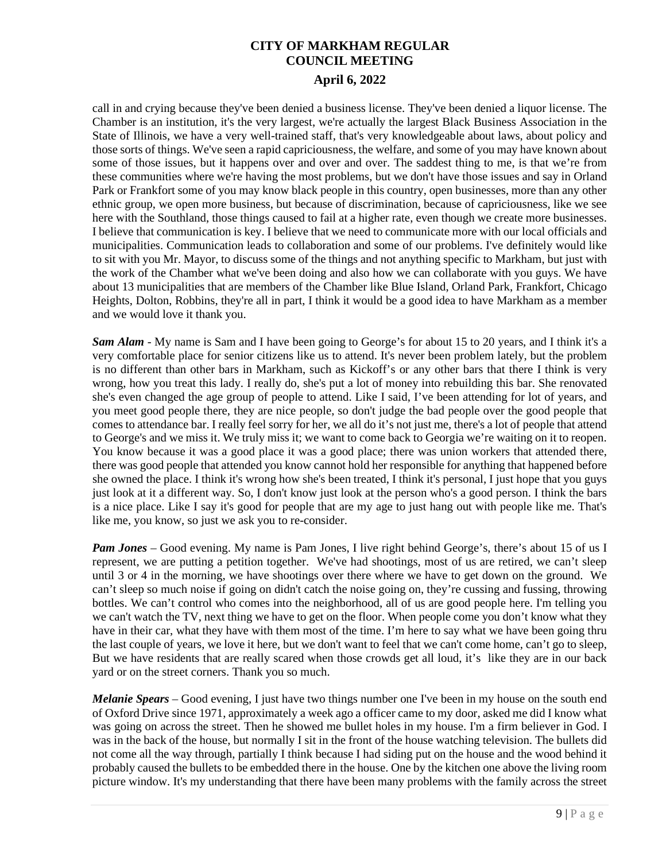call in and crying because they've been denied a business license. They've been denied a liquor license. The Chamber is an institution, it's the very largest, we're actually the largest Black Business Association in the State of Illinois, we have a very well-trained staff, that's very knowledgeable about laws, about policy and those sorts of things. We've seen a rapid capriciousness, the welfare, and some of you may have known about some of those issues, but it happens over and over and over. The saddest thing to me, is that we're from these communities where we're having the most problems, but we don't have those issues and say in Orland Park or Frankfort some of you may know black people in this country, open businesses, more than any other ethnic group, we open more business, but because of discrimination, because of capriciousness, like we see here with the Southland, those things caused to fail at a higher rate, even though we create more businesses. I believe that communication is key. I believe that we need to communicate more with our local officials and municipalities. Communication leads to collaboration and some of our problems. I've definitely would like to sit with you Mr. Mayor, to discuss some of the things and not anything specific to Markham, but just with the work of the Chamber what we've been doing and also how we can collaborate with you guys. We have about 13 municipalities that are members of the Chamber like Blue Island, Orland Park, Frankfort, Chicago Heights, Dolton, Robbins, they're all in part, I think it would be a good idea to have Markham as a member and we would love it thank you.

*Sam Alam* - My name is Sam and I have been going to George's for about 15 to 20 years, and I think it's a very comfortable place for senior citizens like us to attend. It's never been problem lately, but the problem is no different than other bars in Markham, such as Kickoff's or any other bars that there I think is very wrong, how you treat this lady. I really do, she's put a lot of money into rebuilding this bar. She renovated she's even changed the age group of people to attend. Like I said, I've been attending for lot of years, and you meet good people there, they are nice people, so don't judge the bad people over the good people that comes to attendance bar. I really feel sorry for her, we all do it's not just me, there's a lot of people that attend to George's and we miss it. We truly miss it; we want to come back to Georgia we're waiting on it to reopen. You know because it was a good place it was a good place; there was union workers that attended there, there was good people that attended you know cannot hold her responsible for anything that happened before she owned the place. I think it's wrong how she's been treated, I think it's personal, I just hope that you guys just look at it a different way. So, I don't know just look at the person who's a good person. I think the bars is a nice place. Like I say it's good for people that are my age to just hang out with people like me. That's like me, you know, so just we ask you to re-consider.

*Pam Jones* – Good evening. My name is Pam Jones, I live right behind George's, there's about 15 of us I represent, we are putting a petition together. We've had shootings, most of us are retired, we can't sleep until 3 or 4 in the morning, we have shootings over there where we have to get down on the ground. We can't sleep so much noise if going on didn't catch the noise going on, they're cussing and fussing, throwing bottles. We can't control who comes into the neighborhood, all of us are good people here. I'm telling you we can't watch the TV, next thing we have to get on the floor. When people come you don't know what they have in their car, what they have with them most of the time. I'm here to say what we have been going thru the last couple of years, we love it here, but we don't want to feel that we can't come home, can't go to sleep, But we have residents that are really scared when those crowds get all loud, it's like they are in our back yard or on the street corners. Thank you so much.

*Melanie Spears* – Good evening, I just have two things number one I've been in my house on the south end of Oxford Drive since 1971, approximately a week ago a officer came to my door, asked me did I know what was going on across the street. Then he showed me bullet holes in my house. I'm a firm believer in God. I was in the back of the house, but normally I sit in the front of the house watching television. The bullets did not come all the way through, partially I think because I had siding put on the house and the wood behind it probably caused the bullets to be embedded there in the house. One by the kitchen one above the living room picture window. It's my understanding that there have been many problems with the family across the street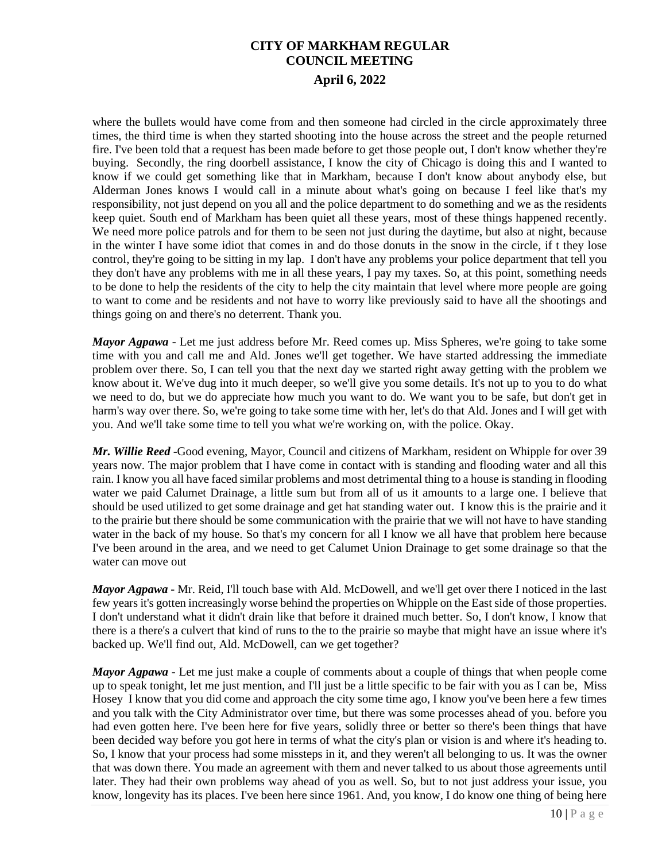where the bullets would have come from and then someone had circled in the circle approximately three times, the third time is when they started shooting into the house across the street and the people returned fire. I've been told that a request has been made before to get those people out, I don't know whether they're buying. Secondly, the ring doorbell assistance, I know the city of Chicago is doing this and I wanted to know if we could get something like that in Markham, because I don't know about anybody else, but Alderman Jones knows I would call in a minute about what's going on because I feel like that's my responsibility, not just depend on you all and the police department to do something and we as the residents keep quiet. South end of Markham has been quiet all these years, most of these things happened recently. We need more police patrols and for them to be seen not just during the daytime, but also at night, because in the winter I have some idiot that comes in and do those donuts in the snow in the circle, if t they lose control, they're going to be sitting in my lap. I don't have any problems your police department that tell you they don't have any problems with me in all these years, I pay my taxes. So, at this point, something needs to be done to help the residents of the city to help the city maintain that level where more people are going to want to come and be residents and not have to worry like previously said to have all the shootings and things going on and there's no deterrent. Thank you.

*Mayor Agpawa* - Let me just address before Mr. Reed comes up. Miss Spheres, we're going to take some time with you and call me and Ald. Jones we'll get together. We have started addressing the immediate problem over there. So, I can tell you that the next day we started right away getting with the problem we know about it. We've dug into it much deeper, so we'll give you some details. It's not up to you to do what we need to do, but we do appreciate how much you want to do. We want you to be safe, but don't get in harm's way over there. So, we're going to take some time with her, let's do that Ald. Jones and I will get with you. And we'll take some time to tell you what we're working on, with the police. Okay.

*Mr. Willie Reed* -Good evening, Mayor, Council and citizens of Markham, resident on Whipple for over 39 years now. The major problem that I have come in contact with is standing and flooding water and all this rain. I know you all have faced similar problems and most detrimental thing to a house is standing in flooding water we paid Calumet Drainage, a little sum but from all of us it amounts to a large one. I believe that should be used utilized to get some drainage and get hat standing water out. I know this is the prairie and it to the prairie but there should be some communication with the prairie that we will not have to have standing water in the back of my house. So that's my concern for all I know we all have that problem here because I've been around in the area, and we need to get Calumet Union Drainage to get some drainage so that the water can move out

*Mayor Agpawa* - Mr. Reid, I'll touch base with Ald. McDowell, and we'll get over there I noticed in the last few years it's gotten increasingly worse behind the properties on Whipple on the East side of those properties. I don't understand what it didn't drain like that before it drained much better. So, I don't know, I know that there is a there's a culvert that kind of runs to the to the prairie so maybe that might have an issue where it's backed up. We'll find out, Ald. McDowell, can we get together?

*Mayor Agpawa* - Let me just make a couple of comments about a couple of things that when people come up to speak tonight, let me just mention, and I'll just be a little specific to be fair with you as I can be, Miss Hosey I know that you did come and approach the city some time ago, I know you've been here a few times and you talk with the City Administrator over time, but there was some processes ahead of you. before you had even gotten here. I've been here for five years, solidly three or better so there's been things that have been decided way before you got here in terms of what the city's plan or vision is and where it's heading to. So, I know that your process had some missteps in it, and they weren't all belonging to us. It was the owner that was down there. You made an agreement with them and never talked to us about those agreements until later. They had their own problems way ahead of you as well. So, but to not just address your issue, you know, longevity has its places. I've been here since 1961. And, you know, I do know one thing of being here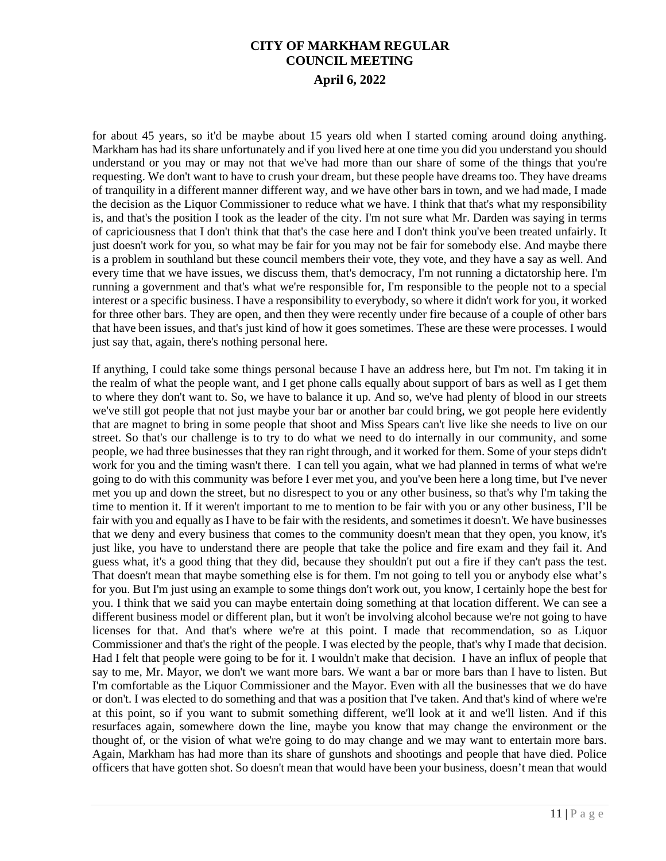for about 45 years, so it'd be maybe about 15 years old when I started coming around doing anything. Markham has had its share unfortunately and if you lived here at one time you did you understand you should understand or you may or may not that we've had more than our share of some of the things that you're requesting. We don't want to have to crush your dream, but these people have dreams too. They have dreams of tranquility in a different manner different way, and we have other bars in town, and we had made, I made the decision as the Liquor Commissioner to reduce what we have. I think that that's what my responsibility is, and that's the position I took as the leader of the city. I'm not sure what Mr. Darden was saying in terms of capriciousness that I don't think that that's the case here and I don't think you've been treated unfairly. It just doesn't work for you, so what may be fair for you may not be fair for somebody else. And maybe there is a problem in southland but these council members their vote, they vote, and they have a say as well. And every time that we have issues, we discuss them, that's democracy, I'm not running a dictatorship here. I'm running a government and that's what we're responsible for, I'm responsible to the people not to a special interest or a specific business. I have a responsibility to everybody, so where it didn't work for you, it worked for three other bars. They are open, and then they were recently under fire because of a couple of other bars that have been issues, and that's just kind of how it goes sometimes. These are these were processes. I would just say that, again, there's nothing personal here.

If anything, I could take some things personal because I have an address here, but I'm not. I'm taking it in the realm of what the people want, and I get phone calls equally about support of bars as well as I get them to where they don't want to. So, we have to balance it up. And so, we've had plenty of blood in our streets we've still got people that not just maybe your bar or another bar could bring, we got people here evidently that are magnet to bring in some people that shoot and Miss Spears can't live like she needs to live on our street. So that's our challenge is to try to do what we need to do internally in our community, and some people, we had three businesses that they ran right through, and it worked for them. Some of your steps didn't work for you and the timing wasn't there. I can tell you again, what we had planned in terms of what we're going to do with this community was before I ever met you, and you've been here a long time, but I've never met you up and down the street, but no disrespect to you or any other business, so that's why I'm taking the time to mention it. If it weren't important to me to mention to be fair with you or any other business, I'll be fair with you and equally as I have to be fair with the residents, and sometimes it doesn't. We have businesses that we deny and every business that comes to the community doesn't mean that they open, you know, it's just like, you have to understand there are people that take the police and fire exam and they fail it. And guess what, it's a good thing that they did, because they shouldn't put out a fire if they can't pass the test. That doesn't mean that maybe something else is for them. I'm not going to tell you or anybody else what's for you. But I'm just using an example to some things don't work out, you know, I certainly hope the best for you. I think that we said you can maybe entertain doing something at that location different. We can see a different business model or different plan, but it won't be involving alcohol because we're not going to have licenses for that. And that's where we're at this point. I made that recommendation, so as Liquor Commissioner and that's the right of the people. I was elected by the people, that's why I made that decision. Had I felt that people were going to be for it. I wouldn't make that decision. I have an influx of people that say to me, Mr. Mayor, we don't we want more bars. We want a bar or more bars than I have to listen. But I'm comfortable as the Liquor Commissioner and the Mayor. Even with all the businesses that we do have or don't. I was elected to do something and that was a position that I've taken. And that's kind of where we're at this point, so if you want to submit something different, we'll look at it and we'll listen. And if this resurfaces again, somewhere down the line, maybe you know that may change the environment or the thought of, or the vision of what we're going to do may change and we may want to entertain more bars. Again, Markham has had more than its share of gunshots and shootings and people that have died. Police officers that have gotten shot. So doesn't mean that would have been your business, doesn't mean that would